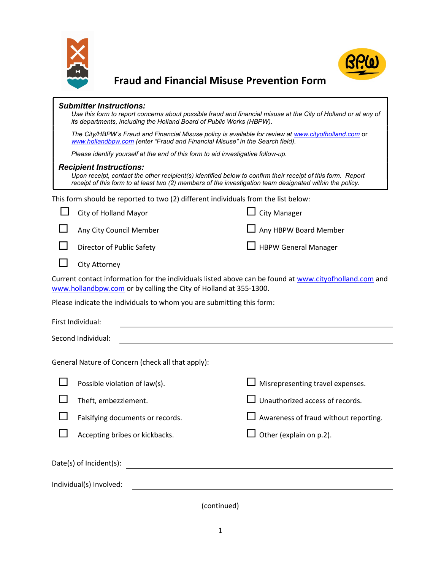



Fraud and Financial Misuse Prevention Form

| <b>Submitter Instructions:</b><br>Use this form to report concerns about possible fraud and financial misuse at the City of Holland or at any of<br>its departments, including the Holland Board of Public Works (HBPW).                                  |                                                                                                                                                                                       |                                              |  |
|-----------------------------------------------------------------------------------------------------------------------------------------------------------------------------------------------------------------------------------------------------------|---------------------------------------------------------------------------------------------------------------------------------------------------------------------------------------|----------------------------------------------|--|
|                                                                                                                                                                                                                                                           | The City/HBPW's Fraud and Financial Misuse policy is available for review at www.cityofholland.com or<br>www.hollandbpw.com (enter "Fraud and Financial Misuse" in the Search field). |                                              |  |
|                                                                                                                                                                                                                                                           | Please identify yourself at the end of this form to aid investigative follow-up.                                                                                                      |                                              |  |
| <b>Recipient Instructions:</b><br>Upon receipt, contact the other recipient(s) identified below to confirm their receipt of this form. Report<br>receipt of this form to at least two (2) members of the investigation team designated within the policy. |                                                                                                                                                                                       |                                              |  |
| This form should be reported to two (2) different individuals from the list below:                                                                                                                                                                        |                                                                                                                                                                                       |                                              |  |
|                                                                                                                                                                                                                                                           | City of Holland Mayor                                                                                                                                                                 | <b>City Manager</b>                          |  |
|                                                                                                                                                                                                                                                           | Any City Council Member                                                                                                                                                               | Any HBPW Board Member                        |  |
|                                                                                                                                                                                                                                                           | Director of Public Safety                                                                                                                                                             | <b>HBPW General Manager</b>                  |  |
|                                                                                                                                                                                                                                                           | City Attorney                                                                                                                                                                         |                                              |  |
| Current contact information for the individuals listed above can be found at www.cityofholland.com and<br>www.hollandbpw.com or by calling the City of Holland at 355-1300.                                                                               |                                                                                                                                                                                       |                                              |  |
| Please indicate the individuals to whom you are submitting this form:                                                                                                                                                                                     |                                                                                                                                                                                       |                                              |  |
| First Individual:                                                                                                                                                                                                                                         |                                                                                                                                                                                       |                                              |  |
| Second Individual:                                                                                                                                                                                                                                        |                                                                                                                                                                                       |                                              |  |
| General Nature of Concern (check all that apply):                                                                                                                                                                                                         |                                                                                                                                                                                       |                                              |  |
|                                                                                                                                                                                                                                                           | Possible violation of law(s).                                                                                                                                                         | Misrepresenting travel expenses.             |  |
|                                                                                                                                                                                                                                                           | Theft, embezzlement.                                                                                                                                                                  | Unauthorized access of records.              |  |
|                                                                                                                                                                                                                                                           | Falsifying documents or records.                                                                                                                                                      | $\Box$ Awareness of fraud without reporting. |  |
|                                                                                                                                                                                                                                                           | Accepting bribes or kickbacks.                                                                                                                                                        | $\Box$ Other (explain on p.2).               |  |
|                                                                                                                                                                                                                                                           | Date(s) of Incident(s):<br><u> Andreas Andreas Andreas Andreas Andreas Andreas Andreas Andreas Andreas Andreas Andreas Andreas Andreas Andr</u>                                       |                                              |  |
| Individual(s) Involved:<br><u> 1989 - Johann Barn, amerikansk politiker (d. 1989)</u>                                                                                                                                                                     |                                                                                                                                                                                       |                                              |  |
|                                                                                                                                                                                                                                                           |                                                                                                                                                                                       |                                              |  |

(continued)